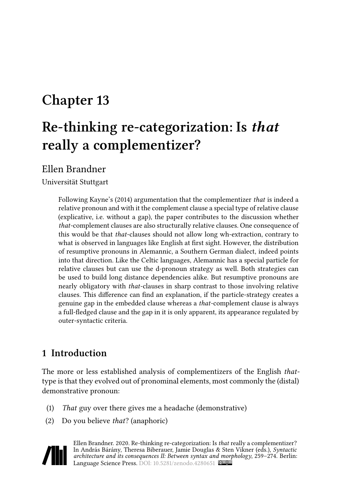# **Chapter 13**

# **Re-thinking re-categorization: Is** *that* **really a complementizer?**

Ellen Brandner

Universität Stuttgart

Following [Kayne'](#page-14-0)s (2014) argumentation that the complementizer *that* is indeed a relative pronoun and with it the complement clause a special type of relative clause (explicative, i.e. without a gap), the paper contributes to the discussion whether *that*-complement clauses are also structurally relative clauses. One consequence of this would be that *that*-clauses should not allow long wh-extraction, contrary to what is observed in languages like English at first sight. However, the distribution of resumptive pronouns in Alemannic, a Southern German dialect, indeed points into that direction. Like the Celtic languages, Alemannic has a special particle for relative clauses but can use the d-pronoun strategy as well. Both strategies can be used to build long distance dependencies alike. But resumptive pronouns are nearly obligatory with *that*-clauses in sharp contrast to those involving relative clauses. This difference can find an explanation, if the particle-strategy creates a genuine gap in the embedded clause whereas a *that*-complement clause is always a full-fledged clause and the gap in it is only apparent, its appearance regulated by outer-syntactic criteria.

## **1 Introduction**

The more or less established analysis of complementizers of the English *that*type is that they evolved out of pronominal elements, most commonly the (distal) demonstrative pronoun:

- (1) *That* guy over there gives me a headache (demonstrative)
- (2) Do you believe *that*? (anaphoric)



Ellen Brandner. 2020. Re-thinking re-categorization: Is *that* really a complementizer? In András Bárány, Theresa Biberauer, Jamie Douglas & Sten Vikner (eds.), *Syntactic architecture and its consequences II: Between syntax and morphology*, 259–274. Berlin: Language Science Press. DOI: [10.5281/zenodo.4280651](https://doi.org/10.5281/zenodo.4280651)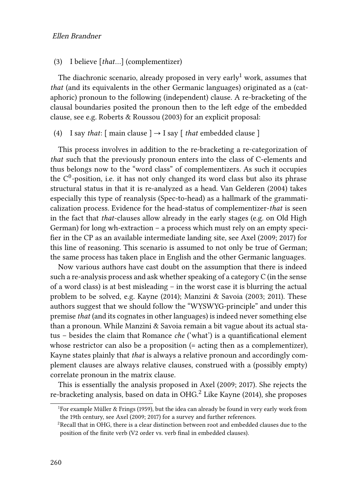#### (3) I believe [*that*…] (complementizer)

The diachronic scenario, already proposed in very early<sup>1</sup> work, assumes that *that* (and its equivalents in the other Germanic languages) originated as a (cataphoric) pronoun to the following (independent) clause. A re-bracketing of the clausal boundaries posited the pronoun then to the left edge of the embedded clause, see e.g. [Roberts & Roussou \(2003\)](#page-14-1) for an explicit proposal:

<span id="page-1-0"></span>(4) I say *that*:  $[$  main clause  $] \rightarrow I$  say  $[$  *that* embedded clause  $]$ 

This process involves in addition to the re-bracketing a re-categorization of *that* such that the previously pronoun enters into the class of C-elements and thus belongs now to the "word class" of complementizers. As such it occupies the C $^0$ -position, i.e. it has not only changed its word class but also its phrase structural status in that it is re-analyzed as a head. [Van Gelderen \(2004\)](#page-15-0) takes especially this type of reanalysis (Spec-to-head) as a hallmark of the grammaticalization process. Evidence for the head-status of complementizer-*that* is seen in the fact that *that*-clauses allow already in the early stages (e.g. on Old High German) for long wh-extraction – a process which must rely on an empty specifier in the CP as an available intermediate landing site, see [Axel \(2009](#page-13-0); [2017](#page-14-2)) for this line of reasoning. This scenario is assumed to not only be true of German; the same process has taken place in English and the other Germanic languages.

Now various authors have cast doubt on the assumption that there is indeed such a re-analysis process and ask whether speaking of a category C (in the sense of a word class) is at best misleading – in the worst case it is blurring the actual problem to be solved, e.g. [Kayne \(2014](#page-14-0)); [Manzini & Savoia \(2003](#page-14-3); [2011](#page-14-4)). These authors suggest that we should follow the "WYSWYG-principle" and under this premise *that* (and its cognates in other languages) is indeed never something else than a pronoun. While Manzini & Savoia remain a bit vague about its actual status – besides the claim that Romance *che* ('what') is a quantificational element whose restrictor can also be a proposition (= acting then as a complementizer), Kayne states plainly that *that* is always a relative pronoun and accordingly complement clauses are always relative clauses, construed with a (possibly empty) correlate pronoun in the matrix clause.

This is essentially the analysis proposed in [Axel \(2009](#page-13-0); [2017](#page-14-2)). She rejects the re-bracketing analysis, based on data in OHG.<sup>2</sup> Like [Kayne \(2014\),](#page-14-0) she proposes

<sup>&</sup>lt;sup>1</sup>For example [Müller & Frings \(1959\)](#page-14-5), but the idea can already be found in very early work from the 19th century, see [Axel \(2009](#page-13-0); [2017\)](#page-14-2) for a survey and further references.

 ${}^{2}$ Recall that in OHG, there is a clear distinction between root and embedded clauses due to the position of the finite verb (V2 order vs. verb final in embedded clauses).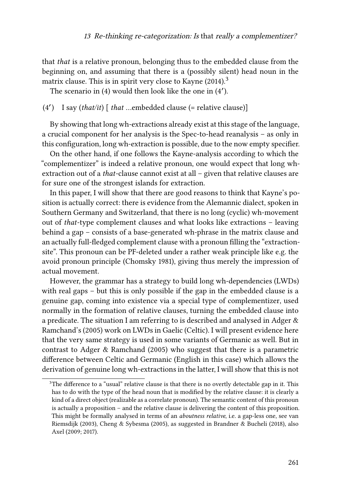that *that* is a relative pronoun, belonging thus to the embedded clause from the beginning on, and assuming that there is a (possibly silent) head noun in the matrix clause. This is in spirit very close to [Kayne \(2014\)](#page-14-0). $^3$ 

Thescenario in ([4](#page-1-0)) would then look like the one in (4').

### (4′ ) I say (*that/it*) [ *that* …embedded clause (= relative clause)]

By showing that long wh-extractions already exist at this stage of the language, a crucial component for her analysis is the Spec-to-head reanalysis – as only in this configuration, long wh-extraction is possible, due to the now empty specifier.

On the other hand, if one follows the Kayne-analysis according to which the "complementizer" is indeed a relative pronoun, one would expect that long whextraction out of a *that*-clause cannot exist at all – given that relative clauses are for sure one of the strongest islands for extraction.

In this paper, I will show that there are good reasons to think that Kayne's position is actually correct: there is evidence from the Alemannic dialect, spoken in Southern Germany and Switzerland, that there is no long (cyclic) wh-movement out of *that*-type complement clauses and what looks like extractions – leaving behind a gap – consists of a base-generated wh-phrase in the matrix clause and an actually full-fledged complement clause with a pronoun filling the "extractionsite". This pronoun can be PF-deleted under a rather weak principle like e.g. the avoid pronoun principle [\(Chomsky 1981](#page-14-6)), giving thus merely the impression of actual movement.

However, the grammar has a strategy to build long wh-dependencies (LWDs) with real gaps – but this is only possible if the gap in the embedded clause is a genuine gap, coming into existence via a special type of complementizer, used normally in the formation of relative clauses, turning the embedded clause into a predicate. The situation I am referring to is described and analysed in [Adger &](#page-13-1) [Ramchand](#page-13-1)'s (2005) work on LWDs in Gaelic (Celtic). I will present evidence here that the very same strategy is used in some variants of Germanic as well. But in contrast to [Adger & Ramchand \(2005\)](#page-13-1) who suggest that there is a parametric difference between Celtic and Germanic (English in this case) which allows the derivation of genuine long wh-extractions in the latter, I will show that this is not

<sup>&</sup>lt;sup>3</sup>The difference to a "usual" relative clause is that there is no overtly detectable gap in it. This has to do with the type of the head noun that is modified by the relative clause: it is clearly a kind of a direct object (realizable as a correlate pronoun). The semantic content of this pronoun is actually a proposition – and the relative clause is delivering the content of this proposition. This might be formally analysed in terms of an *aboutness relative*, i.e. a gap-less one, see [van](#page-15-1) [Riemsdijk \(2003\)](#page-15-1), [Cheng & Sybesma \(2005\)](#page-14-7), as suggested in [Brandner & Bucheli \(2018\)](#page-14-8), also [Axel \(2009;](#page-13-0) [2017](#page-14-2)).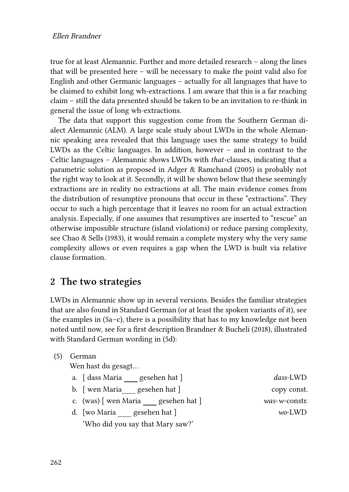true for at least Alemannic. Further and more detailed research – along the lines that will be presented here – will be necessary to make the point valid also for English and other Germanic languages – actually for all languages that have to be claimed to exhibit long wh-extractions. I am aware that this is a far reaching claim – still the data presented should be taken to be an invitation to re-think in general the issue of long wh-extractions.

The data that support this suggestion come from the Southern German dialect Alemannic (ALM). A large scale study about LWDs in the whole Alemannic speaking area revealed that this language uses the same strategy to build LWDs as the Celtic languages. In addition, however – and in contrast to the Celtic languages – Alemannic shows LWDs with *that*-clauses, indicating that a parametric solution as proposed in [Adger & Ramchand \(2005\)](#page-13-1) is probably not the right way to look at it. Secondly, it will be shown below that these seemingly extractions are in reality no extractions at all. The main evidence comes from the distribution of resumptive pronouns that occur in these "extractions". They occur to such a high percentage that it leaves no room for an actual extraction analysis. Especially, if one assumes that resumptives are inserted to "rescue" an otherwise impossible structure (island violations) or reduce parsing complexity, see [Chao & Sells \(1983\)](#page-14-9), it would remain a complete mystery why the very same complexity allows or even requires a gap when the LWD is built via relative clause formation.

## **2 The two strategies**

LWDs in Alemannic show up in several versions. Besides the familiar strategies that are also found in Standard German (or at least the spoken variants of it), see the examples in  $(5a-c)$ , there is a possibility that has to my knowledge not been noted until now, see for a first description [Brandner & Bucheli \(2018\),](#page-14-8) illustrated with Standard German wording in [\(5](#page-3-0)d):

<span id="page-3-0"></span>(5) German

Wen hast du gesagt…

| a. [dass Maria] |  | gesehen hat ] |  |
|-----------------|--|---------------|--|
|-----------------|--|---------------|--|

- b. [wen Maria\_\_\_ gesehen hat ] copy const.
- c. (was) [ wen Maria gesehen hat ] *was*-*w*-constr.
- d. [wo Maria gesehen hat ] *wo*-LWD 'Who did you say that Mary saw?'

 $das$ -LWD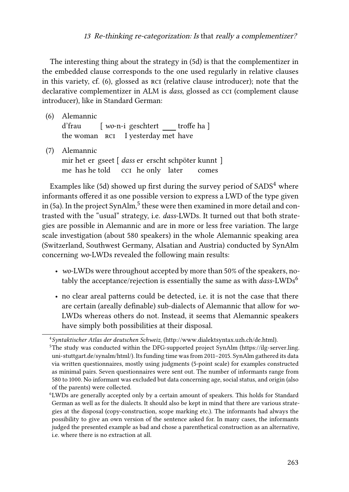The interesting thing about the strategy in [\(5](#page-3-0)d) is that the complementizer in the embedded clause corresponds to the one used regularly in relative clauses in this variety, cf.([6\)](#page-4-0), glossed as rci (relative clause introducer); note that the declarative complementizer in ALM is *dass*, glossed as cci (complement clause introducer), like in Standard German:

<span id="page-4-1"></span><span id="page-4-0"></span>(6) Alemannic d'frau the woman kcı I yesterday met have [ wo-n-i geschtert \_\_\_\_ troffe ha ] (7) Alemannic mir het er gseet [ *dass* er erscht schpöter kunnt ] me has he told cci he only later comes

Exampleslike ([5d](#page-3-0)) showed up first during the survey period of  $SADS<sup>4</sup>$  where informants offered it as one possible version to express a LWD of the type given in [\(5](#page-3-0)a). In the project Syn $\mathrm{Alm},^5$  these were then examined in more detail and contrasted with the "usual" strategy, i.e. *dass*-LWDs. It turned out that both strategies are possible in Alemannic and are in more or less free variation. The large scale investigation (about 580 speakers) in the whole Alemannic speaking area (Switzerland, Southwest Germany, Alsatian and Austria) conducted by SynAlm concerning *wo*-LWDs revealed the following main results:

- *wo*-LWDs were throughout accepted by more than 50% of the speakers, notably the acceptance/rejection is essentially the same as with *dass*-LWDs<sup>6</sup>
- no clear areal patterns could be detected, i.e. it is not the case that there are certain (areally definable) sub-dialects of Alemannic that allow for *wo*-LWDs whereas others do not. Instead, it seems that Alemannic speakers have simply both possibilities at their disposal.

<sup>4</sup> *Syntaktischer Atlas der deutschen Schweiz*, [\(http://www.dialektsyntax.uzh.ch/de.html](http://www.dialektsyntax.uzh.ch/de.html)).

<sup>5</sup>The study was conducted within the DFG-supported project SynAlm([https://ilg-server.ling.](https://ilg-server.ling.uni-stuttgart.de/synalm/html/) [uni-stuttgart.de/synalm/html/](https://ilg-server.ling.uni-stuttgart.de/synalm/html/)). Its funding time was from 2011–2015. SynAlm gathered its data via written questionnaires, mostly using judgments (5-point scale) for examples constructed as minimal pairs. Seven questionnaires were sent out. The number of informants range from 580 to 1000. No informant was excluded but data concerning age, social status, and origin (also of the parents) were collected.

<sup>6</sup>LWDs are generally accepted only by a certain amount of speakers. This holds for Standard German as well as for the dialects. It should also be kept in mind that there are various strategies at the disposal (copy-construction, scope marking etc.). The informants had always the possibility to give an own version of the sentence asked for. In many cases, the informants judged the presented example as bad and chose a parenthetical construction as an alternative, i.e. where there is no extraction at all.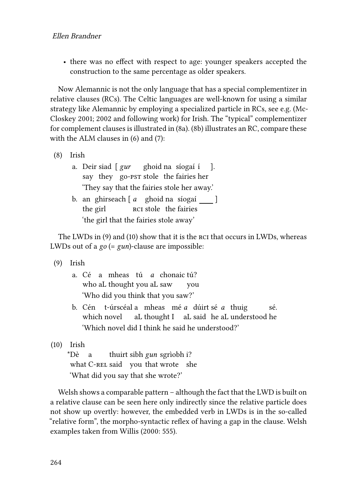• there was no effect with respect to age: younger speakers accepted the construction to the same percentage as older speakers.

Now Alemannic is not the only language that has a special complementizer in relative clauses (RCs). The Celtic languages are well-known for using a similar strategy like Alemannic by employing a specialized particle in RCs, see e.g. [\(Mc-](#page-14-10)[Closkey 2001;](#page-14-10) [2002](#page-14-11) and following work) for Irish. The "typical" complementizer for complement clauses is illustrated in [\(8](#page-5-0)a). [\(8](#page-5-0)b) illustrates an RC, compare these with the ALM clauses in([6\)](#page-4-0) and [\(7\)](#page-4-1):

- <span id="page-5-0"></span>(8) Irish
	- a. Deir siad [ *gur* say they go-pst stole the fairies her ghoid na síogaí í ]. 'They say that the fairies stole her away.'
	- b. an ghirseach [*a* ghoid na síogaí \_\_\_ ] the girl RCI stole the fairies 'the girl that the fairies stole away'

The LWDs in [\(9](#page-5-1)) and([10](#page-5-2)) show that it is the rci that occurs in LWDs, whereas LWDs out of a *go* (= *gun*)-clause are impossible:

- <span id="page-5-1"></span>(9) Irish
	- a. Cé a mheas tú *a* chonaictú? who aL thought you aL saw you 'Who did you think that you saw?'
	- b. Cén t-úrscéal a mheas mé *a* dúirt sé *a* thuig which novel aL thought I aL said he aL understood he sé. 'Which novel did I think he said he understood?'
- <span id="page-5-2"></span>(10) Irish

\*Dè what C-REL said you that wrote she a thuirt sibh *gun* sgrìobh i? 'What did you say that she wrote?'

Welsh shows a comparable pattern – although the fact that the LWD is built on a relative clause can be seen here only indirectly since the relative particle does not show up overtly: however, the embedded verb in LWDs is in the so-called "relative form", the morpho-syntactic reflex of having a gap in the clause. Welsh examples taken from [Willis \(2000:](#page-15-2) 555).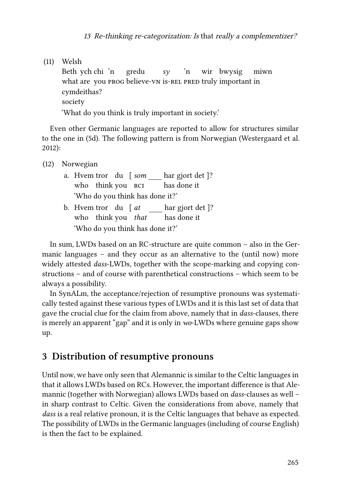(11) Welsh Beth ych chi 'n what are you prog believe-vn is-rel pred truly important in gredu *sy* 'n wir bwysig miwn cymdeithas? society 'What do you think is truly important in society.'

Even other Germanic languages are reported to allow for structures similar to the one in([5d](#page-3-0)). The following pattern is from Norwegian [\(Westergaard et al.](#page-15-3) [2012\)](#page-15-3):

(12) Norwegian

- a. Hvem tror du [ *som* who think-you RCI har gjort det ]? has done it 'Who do you think has done it?'
- b. Hvem tror du [ *at* who think you *that* har gjort det ]? has done it 'Who do you think has done it?'

In sum, LWDs based on an RC-structure are quite common – also in the Germanic languages – and they occur as an alternative to the (until now) more widely attested *dass*-LWDs, together with the scope-marking and copying constructions – and of course with parenthetical constructions – which seem to be always a possibility.

In SynALm, the acceptance/rejection of resumptive pronouns was systematically tested against these various types of LWDs and it is this last set of data that gave the crucial clue for the claim from above, namely that in *dass*-clauses, there is merely an apparent "gap" and it is only in *wo*-LWDs where genuine gaps show up.

## **3 Distribution of resumptive pronouns**

Until now, we have only seen that Alemannic is similar to the Celtic languages in that it allows LWDs based on RCs. However, the important difference is that Alemannic (together with Norwegian) allows LWDs based on *dass*-clauses as well – in sharp contrast to Celtic. Given the considerations from above, namely that *dass* is a real relative pronoun, it is the Celtic languages that behave as expected. The possibility of LWDs in the Germanic languages (including of course English) is then the fact to be explained.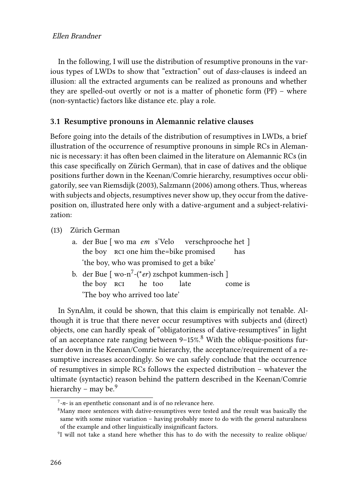In the following, I will use the distribution of resumptive pronouns in the various types of LWDs to show that "extraction" out of *dass*-clauses is indeed an illusion: all the extracted arguments can be realized as pronouns and whether they are spelled-out overtly or not is a matter of phonetic form (PF) – where (non-syntactic) factors like distance etc. play a role.

#### **3.1 Resumptive pronouns in Alemannic relative clauses**

Before going into the details of the distribution of resumptives in LWDs, a brief illustration of the occurrence of resumptive pronouns in simple RCs in Alemannic is necessary: it has often been claimed in the literature on Alemannic RCs (in this case specifically on Zürich German), that in case of datives and the oblique positions further down in the Keenan/Comrie hierarchy, resumptives occur obligatorily, see [van Riemsdijk \(2003\)](#page-15-1), [Salzmann \(2006\)](#page-14-12) among others. Thus, whereas with subjects and objects, resumptives never show up, they occur from the dativeposition on, illustrated here only with a dative-argument and a subject-relativization:

(13) Zürich German

- a. der Bue [ wo ma *em* s'Velo the boy rci one him the=bike promised verschprooche het ] has 'the boy, who was promised to get a bike'
- b. der Bue [ wo-n<sup>7</sup>-(\**er*) zschpot kummen-isch ] the boy  $\overline{\phantom{a} \phantom{a} \phantom{a} }$  rcı $\qquad$  he he too late come is 'The boy who arrived too late'

In SynAlm, it could be shown, that this claim is empirically not tenable. Although it is true that there never occur resumptives with subjects and (direct) objects, one can hardly speak of "obligatoriness of dative-resumptives" in light of an acceptance rate ranging between 9-15%.<sup>8</sup> With the oblique-positions further down in the Keenan/Comrie hierarchy, the acceptance/requirement of a resumptive increases accordingly. So we can safely conclude that the occurrence of resumptives in simple RCs follows the expected distribution – whatever the ultimate (syntactic) reason behind the pattern described in the Keenan/Comrie hierarchy – may be. $9$ 

<sup>7</sup> *-n-* is an epenthetic consonant and is of no relevance here.

<sup>&</sup>lt;sup>8</sup>Many more sentences with dative-resumptives were tested and the result was basically the same with some minor variation – having probably more to do with the general naturalness of the example and other linguistically insignificant factors.

<sup>&</sup>lt;sup>9</sup>I will not take a stand here whether this has to do with the necessity to realize oblique/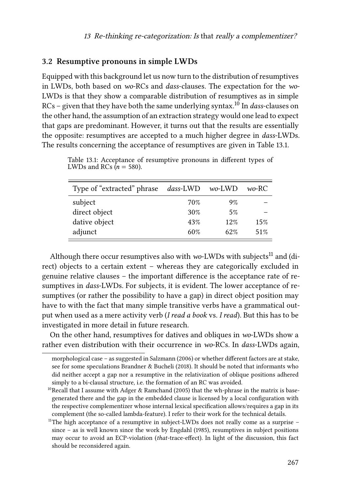#### **3.2 Resumptive pronouns in simple LWDs**

Equipped with this background let us now turn to the distribution of resumptives in LWDs, both based on *wo*-RCs and *dass*-clauses. The expectation for the *wo*-LWDs is that they show a comparable distribution of resumptives as in simple RCs – given that they have both the same underlying syntax.<sup>10</sup> In *dass*-clauses on the other hand, the assumption of an extraction strategy would one lead to expect that gaps are predominant. However, it turns out that the results are essentially the opposite: resumptives are accepted to a much higher degree in *dass*-LWDs. The results concerning the acceptance of resumptives are given in Table [13.1.](#page-8-0)

<span id="page-8-0"></span>

| Type of "extracted" phrase | dass-LWD wo-LWD |     | wo-RC |
|----------------------------|-----------------|-----|-------|
| subject                    | 70%             | 9%  |       |
| direct object              | 30%             | 5%  |       |
| dative object              | 43%             | 12% | 15%   |
| adjunct                    | 60%             | 62% | 51%   |

Table 13.1: Acceptance of resumptive pronouns in different types of LWDs and RCs  $(n = 580)$ .

Although there occur resumptives also with *wo*-LWDs with subjects<sup>11</sup> and (direct) objects to a certain extent – whereas they are categorically excluded in genuine relative clauses – the important difference is the acceptance rate of resumptives in *dass*-LWDs. For subjects, it is evident. The lower acceptance of resumptives (or rather the possibility to have a gap) in direct object position may have to with the fact that many simple transitive verbs have a grammatical output when used as a mere activity verb (*I read a book* vs. *I read*). But this has to be investigated in more detail in future research.

On the other hand, resumptives for datives and obliques in *wo*-LWDs show a rather even distribution with their occurrence in *wo*-RCs. In *dass*-LWDs again,

morphological case – as suggested in [Salzmann \(2006\)](#page-14-12) or whether different factors are at stake, see for some speculations [Brandner & Bucheli \(2018\)](#page-14-8). It should be noted that informants who did neither accept a gap nor a resumptive in the relativization of oblique positions adhered simply to a bi-clausal structure, i.e. the formation of an RC was avoided.

<sup>&</sup>lt;sup>10</sup>Recall that I assume with [Adger & Ramchand \(2005\)](#page-13-1) that the wh-phrase in the matrix is basegenerated there and the gap in the embedded clause is licensed by a local configuration with the respective complementizer whose internal lexical specification allows/requires a gap in its complement (the so-called lambda-feature). I refer to their work for the technical details.

<sup>&</sup>lt;sup>11</sup>The high acceptance of a resumptive in subject-LWDs does not really come as a surprise  $$ since – as is well known since the work by [Engdahl \(1985\),](#page-14-13) resumptives in subject positions may occur to avoid an ECP-violation (*that*-trace-effect). In light of the discussion, this fact should be reconsidered again.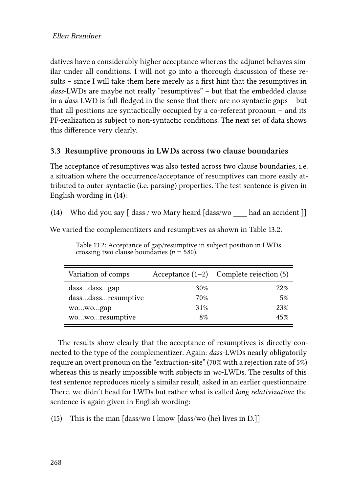datives have a considerably higher acceptance whereas the adjunct behaves similar under all conditions. I will not go into a thorough discussion of these results – since I will take them here merely as a first hint that the resumptives in *dass*-LWDs are maybe not really "resumptives" – but that the embedded clause in a *dass*-LWD is full-fledged in the sense that there are no syntactic gaps – but that all positions are syntactically occupied by a co-referent pronoun – and its PF-realization is subject to non-syntactic conditions. The next set of data shows this difference very clearly.

### **3.3 Resumptive pronouns in LWDs across two clause boundaries**

The acceptance of resumptives was also tested across two clause boundaries, i.e. a situation where the occurrence/acceptance of resumptives can more easily attributed to outer-syntactic (i.e. parsing) properties. The test sentence is given in English wording in([14\)](#page-9-0):

<span id="page-9-0"></span>(14) Who did you say [ dass / wo Mary heard [dass/wo had an accident ]]

We varied the complementizers and resumptives as shown in Table [13.2](#page-9-1).

<span id="page-9-1"></span>

| Variation of comps |     | Acceptance $(1-2)$ Complete rejection (5) |
|--------------------|-----|-------------------------------------------|
| dassdassgap        | 30% | 22%                                       |
| dassdassresumptive | 70% | 5%                                        |
| wowogap            | 31% | 23%                                       |
| woworesumptive     | 8%  | 45%                                       |

Table 13.2: Acceptance of gap/resumptive in subject position in LWDs crossing two clause boundaries ( $n = 580$ ).

The results show clearly that the acceptance of resumptives is directly connected to the type of the complementizer. Again: *dass*-LWDs nearly obligatorily require an overt pronoun on the "extraction-site" (70% with a rejection rate of 5%) whereas this is nearly impossible with subjects in *wo*-LWDs. The results of this test sentence reproduces nicely a similar result, asked in an earlier questionnaire. There, we didn't head for LWDs but rather what is called *long relativization*; the sentence is again given in English wording:

(15) This is the man [dass/wo I know [dass/wo (he) lives in D.]]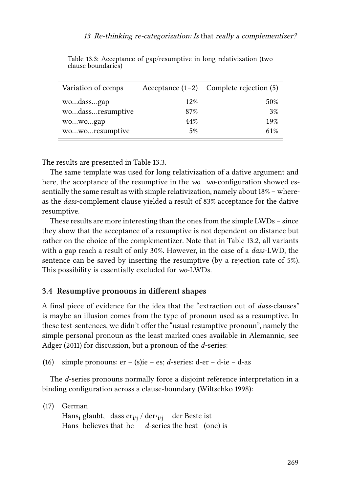<span id="page-10-0"></span>

| Variation of comps |     | Acceptance $(1-2)$ Complete rejection (5) |
|--------------------|-----|-------------------------------------------|
| wodassgap          | 12% | 50%                                       |
| wodassresumptive   | 87% | 3%                                        |
| wowogap            | 44% | 19%                                       |
| woworesumptive     | 5%  | 61%                                       |

Table 13.3: Acceptance of gap/resumptive in long relativization (two clause boundaries)

The results are presented in Table [13.3.](#page-10-0)

The same template was used for long relativization of a dative argument and here, the acceptance of the resumptive in the *wo…wo*-configuration showed essentially the same result as with simple relativization, namely about 18% – whereas the *dass*-complement clause yielded a result of 83% acceptance for the dative resumptive.

These results are more interesting than the ones from the simple LWDs – since they show that the acceptance of a resumptive is not dependent on distance but rather on the choice of the complementizer. Note that in Table [13.2](#page-9-1), all variants with a gap reach a result of only 30%. However, in the case of a *dass*-LWD, the sentence can be saved by inserting the resumptive (by a rejection rate of 5%). This possibility is essentially excluded for *wo*-LWDs.

#### <span id="page-10-2"></span>**3.4 Resumptive pronouns in different shapes**

A final piece of evidence for the idea that the "extraction out of *dass*-clauses" is maybe an illusion comes from the type of pronoun used as a resumptive. In these test-sentences, we didn't offer the "usual resumptive pronoun", namely the simple personal pronoun as the least marked ones available in Alemannic, see [Adger \(2011\)](#page-13-2) for discussion, but a pronoun of the *d*-series:

(16) simple pronouns: er – (s)ie – es; *d*-series: d-er – d-ie – d-as

The *d*-series pronouns normally force a disjoint reference interpretation in a binding configuration across a clause-boundary [\(Wiltschko 1998\)](#page-15-4):

<span id="page-10-1"></span>(17) German Hans<sub>i</sub> glaubt, dass er<sub>i/j</sub> / der<sub>\*i/j</sub> der Beste ist Hans believes that he *d*-series the best (one) is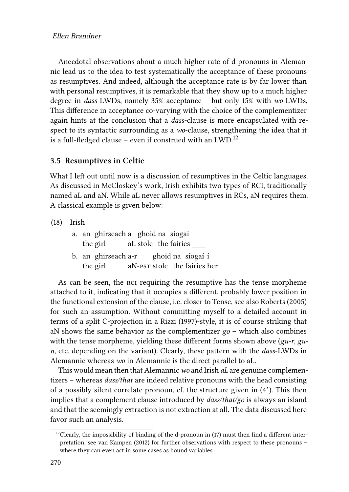Anecdotal observations about a much higher rate of d-pronouns in Alemannic lead us to the idea to test systematically the acceptance of these pronouns as resumptives. And indeed, although the acceptance rate is by far lower than with personal resumptives, it is remarkable that they show up to a much higher degree in *dass*-LWDs, namely 35% acceptance – but only 15% with *wo*-LWDs, This difference in acceptance co-varying with the choice of the complementizer again hints at the conclusion that a *dass*-clause is more encapsulated with respect to its syntactic surrounding as a *wo*-clause, strengthening the idea that it is a full-fledged clause – even if construed with an LWD.<sup>12</sup>

#### **3.5 Resumptives in Celtic**

What I left out until now is a discussion of resumptives in the Celtic languages. As discussed in McCloskey's work, Irish exhibits two types of RCI, traditionally named aL and aN. While aL never allows resumptives in RCs, aN requires them. A classical example is given below:

(18) Irish

|  | a. an ghirseach a ghoid na síogaí |                      |  |                                             |
|--|-----------------------------------|----------------------|--|---------------------------------------------|
|  | the girl                          | aL stole the fairies |  |                                             |
|  |                                   |                      |  | المحتمل والمحافظ والمنافذ والمستقط والمستقط |

b. an ghirseach a-r the girl aN-pst stole the fairies her ghoid na síogaí í

As can be seen, the rci requiring the resumptive has the tense morpheme attached to it, indicating that it occupies a different, probably lower position in the functional extension of the clause, i.e. closer to Tense, see also [Roberts \(2005\)](#page-14-14) for such an assumption. Without committing myself to a detailed account in terms of a split C-projection in a [Rizzi \(1997\)](#page-14-15)-style, it is of course striking that aN shows the same behavior as the complementizer *go* – which also combines with the tense morpheme, yielding these different forms shown above (*gu-r*, *gun*, etc. depending on the variant). Clearly, these pattern with the *dass*-LWDs in Alemannic whereas *wo* in Alemannic is the direct parallel to aL.

This would mean then that Alemannic*wo* and Irish *aL* are genuine complementizers – whereas *dass/that* are indeed relative pronouns with the head consisting of a possibly silent correlate pronoun, cf. the structure given in (4′ ). This then implies that a complement clause introduced by *dass/that/go* is always an island and that the seemingly extraction is not extraction at all. The data discussed here favor such an analysis.

 $12$ Clearly, the impossibility of binding of the d-pronoun in ([17\)](#page-10-1) must then find a different interpretation, see [van Kampen \(2012\)](#page-15-5) for further observations with respect to these pronouns – where they can even act in some cases as bound variables.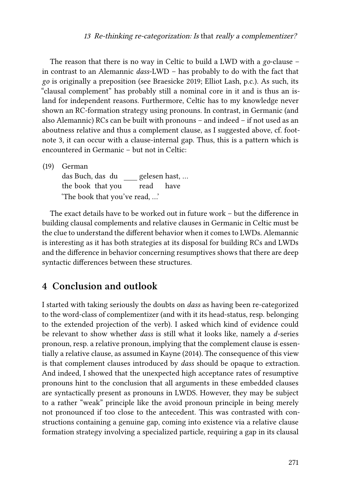The reason that there is no way in Celtic to build a LWD with a *go*-clause – in contrast to an Alemannic *dass*-LWD – has probably to do with the fact that *go* is originally a preposition (see [Braesicke 2019](#page-14-16); Elliot Lash, p.c.). As such, its "clausal complement" has probably still a nominal core in it and is thus an island for independent reasons. Furthermore, Celtic has to my knowledge never shown an RC-formation strategy using pronouns. In contrast, in Germanic (and also Alemannic) RCs can be built with pronouns – and indeed – if not used as an aboutness relative and thus a complement clause, as I suggested above, cf. footnote [3](#page-1-0), it can occur with a clause-internal gap. Thus, this is a pattern which is encountered in Germanic – but not in Celtic:

(19) German

das Buch, das du gelesen hast, … the book that you read have 'The book that you've read, …'

The exact details have to be worked out in future work – but the difference in building clausal complements and relative clauses in Germanic in Celtic must be the clue to understand the different behavior when it comes to LWDs. Alemannic is interesting as it has both strategies at its disposal for building RCs and LWDs and the difference in behavior concerning resumptives shows that there are deep syntactic differences between these structures.

## **4 Conclusion and outlook**

I started with taking seriously the doubts on *dass* as having been re-categorized to the word-class of complementizer (and with it its head-status, resp. belonging to the extended projection of the verb). I asked which kind of evidence could be relevant to show whether *dass* is still what it looks like, namely a *d*-series pronoun, resp. a relative pronoun, implying that the complement clause is essentially a relative clause, as assumed in [Kayne \(2014\)](#page-14-0). The consequence of this view is that complement clauses introduced by *dass* should be opaque to extraction. And indeed, I showed that the unexpected high acceptance rates of resumptive pronouns hint to the conclusion that all arguments in these embedded clauses are syntactically present as pronouns in LWDS. However, they may be subject to a rather "weak" principle like the avoid pronoun principle in being merely not pronounced if too close to the antecedent. This was contrasted with constructions containing a genuine gap, coming into existence via a relative clause formation strategy involving a specialized particle, requiring a gap in its clausal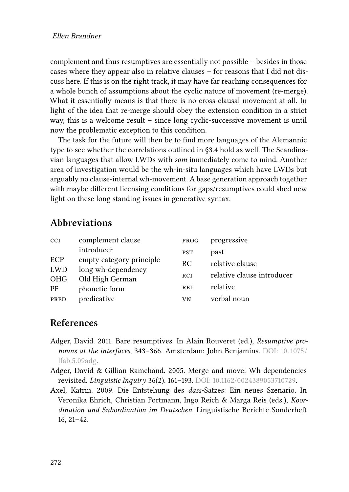complement and thus resumptives are essentially not possible – besides in those cases where they appear also in relative clauses – for reasons that I did not discuss here. If this is on the right track, it may have far reaching consequences for a whole bunch of assumptions about the cyclic nature of movement (re-merge). What it essentially means is that there is no cross-clausal movement at all. In light of the idea that re-merge should obey the extension condition in a strict way, this is a welcome result – since long cyclic-successive movement is until now the problematic exception to this condition.

The task for the future will then be to find more languages of the Alemannic type to see whether the correlations outlined in [§3.4](#page-10-2) hold as well. The Scandinavian languages that allow LWDs with *som* immediately come to mind. Another area of investigation would be the wh-in-situ languages which have LWDs but arguably no clause-internal wh-movement. A base generation approach together with maybe different licensing conditions for gaps/resumptives could shed new light on these long standing issues in generative syntax.

# **Abbreviations**

| <b>CCI</b> | complement clause        | PROG       | progressive                |
|------------|--------------------------|------------|----------------------------|
|            | introducer               | <b>PST</b> | past                       |
| ECP        | empty category principle | RC.        | relative clause            |
| <b>LWD</b> | long wh-dependency       |            |                            |
| <b>OHG</b> | Old High German          | <b>RCI</b> | relative clause introducer |
| PF         | phonetic form            | <b>REL</b> | relative                   |
| PRED       | predicative              | VN         | verbal noun                |

## **References**

- <span id="page-13-2"></span>Adger, David. 2011. Bare resumptives. In Alain Rouveret (ed.), *Resumptive pronouns at the interfaces*, 343–366. Amsterdam: John Benjamins. DOI: [10.1075 /](https://doi.org/10.1075/lfab.5.09adg) [lfab.5.09adg](https://doi.org/10.1075/lfab.5.09adg).
- <span id="page-13-1"></span>Adger, David & Gillian Ramchand. 2005. Merge and move: Wh-dependencies revisited. *Linguistic Inquiry* 36(2). 161–193. DOI: [10.1162/0024389053710729.](https://doi.org/10.1162/0024389053710729)
- <span id="page-13-0"></span>Axel, Katrin. 2009. Die Entstehung des *dass*-Satzes: Ein neues Szenario. In Veronika Ehrich, Christian Fortmann, Ingo Reich & Marga Reis (eds.), *Koordination und Subordination im Deutschen*. Linguistische Berichte Sonderheft 16, 21–42.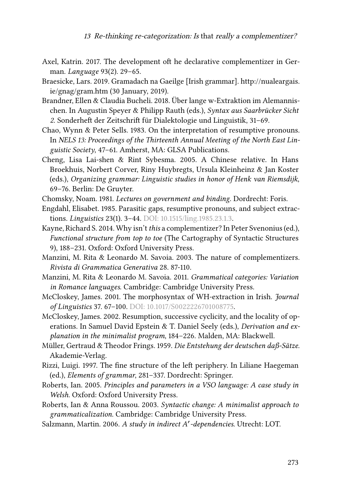- <span id="page-14-2"></span>Axel, Katrin. 2017. The development oft he declarative complementizer in German. *Language* 93(2). 29–65.
- <span id="page-14-16"></span>Braesicke, Lars. 2019. Gramadach na Gaeilge [Irish grammar]. [http://nualeargais.](http://nualeargais.ie/gnag/gram.htm) [ie/gnag/gram.htm](http://nualeargais.ie/gnag/gram.htm) (30 January, 2019).
- <span id="page-14-8"></span>Brandner, Ellen & Claudia Bucheli. 2018. Über lange w-Extraktion im Alemannischen. In Augustin Speyer & Philipp Rauth (eds.), *Syntax aus Saarbrücker Sicht 2*. Sonderheft der Zeitschrift für Dialektologie und Linguistik, 31–69.
- <span id="page-14-9"></span>Chao, Wynn & Peter Sells. 1983. On the interpretation of resumptive pronouns. In *NELS 13: Proceedings of the Thirteenth Annual Meeting of the North East Linguistic Society*, 47–61. Amherst, MA: GLSA Publications.
- <span id="page-14-7"></span>Cheng, Lisa Lai-shen & Rint Sybesma. 2005. A Chinese relative. In Hans Broekhuis, Norbert Corver, Riny Huybregts, Ursula Kleinheinz & Jan Koster (eds.), *Organizing grammar: Linguistic studies in honor of Henk van Riemsdijk*, 69–76. Berlin: De Gruyter.
- <span id="page-14-6"></span>Chomsky, Noam. 1981. *Lectures on government and binding*. Dordrecht: Foris.
- <span id="page-14-13"></span>Engdahl, Elisabet. 1985. Parasitic gaps, resumptive pronouns, and subject extractions. *Linguistics* 23(1). 3–44. DOI: [10.1515/ling.1985.23.1.3](https://doi.org/10.1515/ling.1985.23.1.3).
- <span id="page-14-0"></span>Kayne, Richard S. 2014. Why isn't *this* a complementizer? In Peter Svenonius (ed.), *Functional structure from top to toe* (The Cartography of Syntactic Structures 9), 188–231. Oxford: Oxford University Press.
- <span id="page-14-3"></span>Manzini, M. Rita & Leonardo M. Savoia. 2003. The nature of complementizers. *Rivista di Grammatica Generativa* 28. 87-110.
- <span id="page-14-4"></span>Manzini, M. Rita & Leonardo M. Savoia. 2011. *Grammatical categories: Variation in Romance languages*. Cambridge: Cambridge University Press.
- <span id="page-14-10"></span>McCloskey, James. 2001. The morphosyntax of WH-extraction in Irish. *Journal of Linguistics* 37. 67–100. DOI: [10.1017/S0022226701008775.](https://doi.org/10.1017/S0022226701008775)
- <span id="page-14-11"></span>McCloskey, James. 2002. Resumption, successive cyclicity, and the locality of operations. In Samuel David Epstein & T. Daniel Seely (eds.), *Derivation and explanation in the minimalist program*, 184–226. Malden, MA: Blackwell.
- <span id="page-14-5"></span>Müller, Gertraud & Theodor Frings. 1959. *Die Entstehung der deutschen daß-Sätze*. Akademie-Verlag.
- <span id="page-14-15"></span>Rizzi, Luigi. 1997. The fine structure of the left periphery. In Liliane Haegeman (ed.), *Elements of grammar*, 281–337. Dordrecht: Springer.
- <span id="page-14-14"></span>Roberts, Ian. 2005. *Principles and parameters in a VSO language: A case study in Welsh*. Oxford: Oxford University Press.
- <span id="page-14-1"></span>Roberts, Ian & Anna Roussou. 2003. *Syntactic change: A minimalist approach to grammaticalization*. Cambridge: Cambridge University Press.
- <span id="page-14-12"></span>Salzmann, Martin. 2006. *A study in indirect A*′ *-dependencies*. Utrecht: LOT.